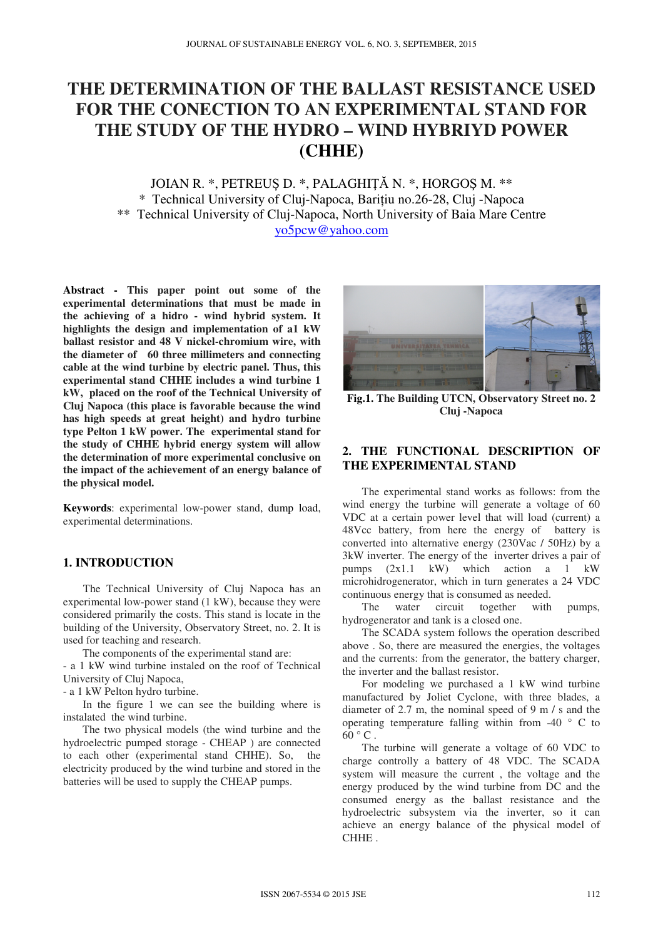# **THE DETERMINATION OF THE BALLAST RESISTANCE USED FOR THE CONECTION TO AN EXPERIMENTAL STAND FOR THE STUDY OF THE HYDRO – WIND HYBRIYD POWER (CHHE)**

JOIAN R. \*, PETREUȘ D. \*, PALAGHIŢĂ N. \*, HORGOŞ M. \*\* \* Technical University of Cluj-Napoca, Barițiu no.26-28, Cluj -Napoca \*\* Technical University of Cluj-Napoca, North University of Baia Mare Centre yo5pcw@yahoo.com

**Abstract - This paper point out some of the experimental determinations that must be made in the achieving of a hidro - wind hybrid system. It highlights the design and implementation of a1 kW ballast resistor and 48 V nickel-chromium wire, with the diameter of 60 three millimeters and connecting cable at the wind turbine by electric panel. Thus, this experimental stand CHHE includes a wind turbine 1 kW, placed on the roof of the Technical University of Cluj Napoca (this place is favorable because the wind has high speeds at great height) and hydro turbine type Pelton 1 kW power. The experimental stand for the study of CHHE hybrid energy system will allow the determination of more experimental conclusive on the impact of the achievement of an energy balance of the physical model.** 

**Keywords**: experimental low-power stand, dump load, experimental determinations.

#### **1. INTRODUCTION**

 The Technical University of Cluj Napoca has an experimental low-power stand (1 kW), because they were considered primarily the costs. This stand is locate in the building of the University, Observatory Street, no. 2. It is used for teaching and research.

The components of the experimental stand are:

- a 1 kW wind turbine instaled on the roof of Technical University of Cluj Napoca,

- a 1 kW Pelton hydro turbine.

 In the figure 1 we can see the building where is instalated the wind turbine.

 The two physical models (the wind turbine and the hydroelectric pumped storage - CHEAP ) are connected to each other (experimental stand CHHE). So, the electricity produced by the wind turbine and stored in the batteries will be used to supply the CHEAP pumps.



**Fig.1. The Building UTCN, Observatory Street no. 2 Cluj -Napoca** 

## **2. THE FUNCTIONAL DESCRIPTION OF THE EXPERIMENTAL STAND**

 The experimental stand works as follows: from the wind energy the turbine will generate a voltage of 60 VDC at a certain power level that will load (current) a 48Vcc battery, from here the energy of battery is converted into alternative energy (230Vac / 50Hz) by a 3kW inverter. The energy of the inverter drives a pair of pumps  $(2x1.1 \t{kW})$  which action a 1 kW microhidrogenerator, which in turn generates a 24 VDC continuous energy that is consumed as needed.

The water circuit together with pumps, hydrogenerator and tank is a closed one.

 The SCADA system follows the operation described above . So, there are measured the energies, the voltages and the currents: from the generator, the battery charger, the inverter and the ballast resistor.

 For modeling we purchased a 1 kW wind turbine manufactured by Joliet Cyclone, with three blades, a diameter of 2.7 m, the nominal speed of 9 m / s and the operating temperature falling within from  $-40$   $\degree$  C to  $60^{\circ}$  C.

 The turbine will generate a voltage of 60 VDC to charge controlly a battery of 48 VDC. The SCADA system will measure the current , the voltage and the energy produced by the wind turbine from DC and the consumed energy as the ballast resistance and the hydroelectric subsystem via the inverter, so it can achieve an energy balance of the physical model of CHHE .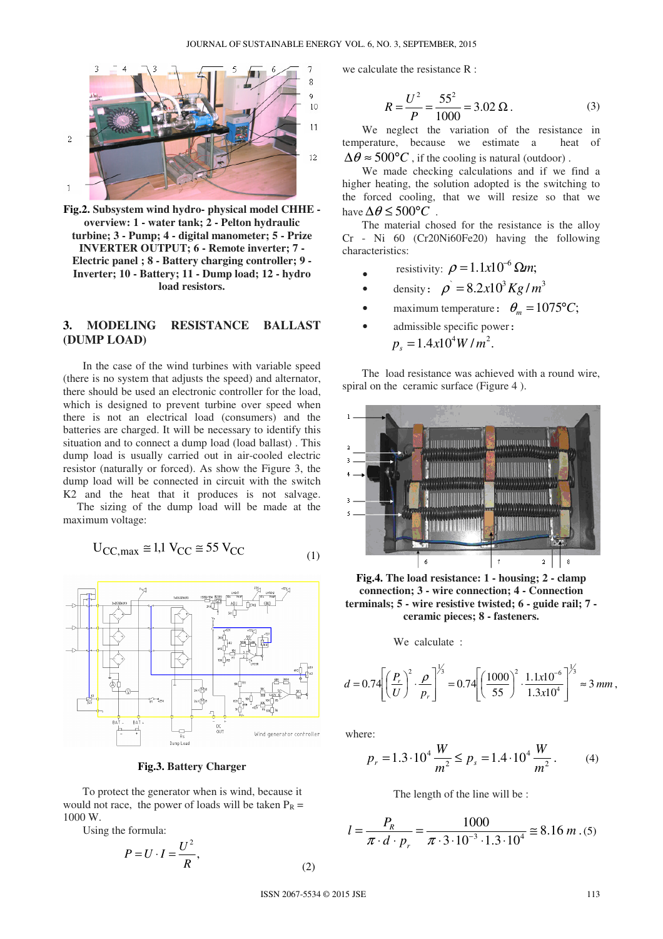•



**Fig.2. Subsystem wind hydro- physical model CHHE overview: 1 - water tank; 2 - Pelton hydraulic turbine; 3 - Pump; 4 - digital manometer; 5 - Prize INVERTER OUTPUT; 6 - Remote inverter; 7 - Electric panel ; 8 - Battery charging controller; 9 - Inverter; 10 - Battery; 11 - Dump load; 12 - hydro load resistors.** 

### **3. MODELING RESISTANCE BALLAST (DUMP LOAD)**

 In the case of the wind turbines with variable speed (there is no system that adjusts the speed) and alternator, there should be used an electronic controller for the load, which is designed to prevent turbine over speed when there is not an electrical load (consumers) and the batteries are charged. It will be necessary to identify this situation and to connect a dump load (load ballast) . This dump load is usually carried out in air-cooled electric resistor (naturally or forced). As show the Figure 3, the dump load will be connected in circuit with the switch K2 and the heat that it produces is not salvage. The sizing of the dump load will be made at the maximum voltage:

$$
U_{\text{CC,max}} \cong 1.1 \text{ V}_{\text{CC}} \cong 55 \text{ V}_{\text{CC}}
$$
 (1)



**Fig.3. Battery Charger** 

 To protect the generator when is wind, because it would not race, the power of loads will be taken  $P_R$  = 1000 W.

Using the formula:

$$
P = U \cdot I = \frac{U^2}{R},\tag{2}
$$

we calculate the resistance R :

$$
R = \frac{U^2}{P} = \frac{55^2}{1000} = 3.02 \,\Omega \,. \tag{3}
$$

 We neglect the variation of the resistance in temperature, because we estimate a heat of  $\Delta\theta \approx 500^{\circ}C$ , if the cooling is natural (outdoor).

 We made checking calculations and if we find a higher heating, the solution adopted is the switching to the forced cooling, that we will resize so that we have  $\Delta\theta \leq 500^{\circ}C$ .

 The material chosed for the resistance is the alloy Cr - Ni 60 (Cr20Ni60Fe20) having the following characteristics:

- resistivity:  $\rho = 1.1x10^{-6} \Omega m$ ;
- density:  $\rho = 8.2x10^3 Kg/m^3$
- maximum temperature:  $\theta_m = 1075$ °C;
- admissible specific power:

 $p_s = 1.4x10^4 W/m^2$ .

 The load resistance was achieved with a round wire, spiral on the ceramic surface (Figure 4).



**Fig.4. The load resistance: 1 - housing; 2 - clamp connection; 3 - wire connection; 4 - Connection terminals; 5 - wire resistive twisted; 6 - guide rail; 7 ceramic pieces; 8 - fasteners.** 

We calculate :

$$
d = 0.74 \left[ \left( \frac{P_r}{U} \right)^2 \cdot \frac{\rho}{P_r} \right]^{1/3} = 0.74 \left[ \left( \frac{1000}{55} \right)^2 \cdot \frac{1.1 \times 10^{-6}}{1.3 \times 10^4} \right]^{1/3} \approx 3 \, mm \,,
$$

where:

$$
p_r = 1.3 \cdot 10^4 \frac{W}{m^2} \le p_s = 1.4 \cdot 10^4 \frac{W}{m^2}.
$$
 (4)

The length of the line will be :

$$
l = \frac{P_R}{\pi \cdot d \cdot p_r} = \frac{1000}{\pi \cdot 3 \cdot 10^{-3} \cdot 1.3 \cdot 10^4} \approx 8.16 \, m \, . (5)
$$